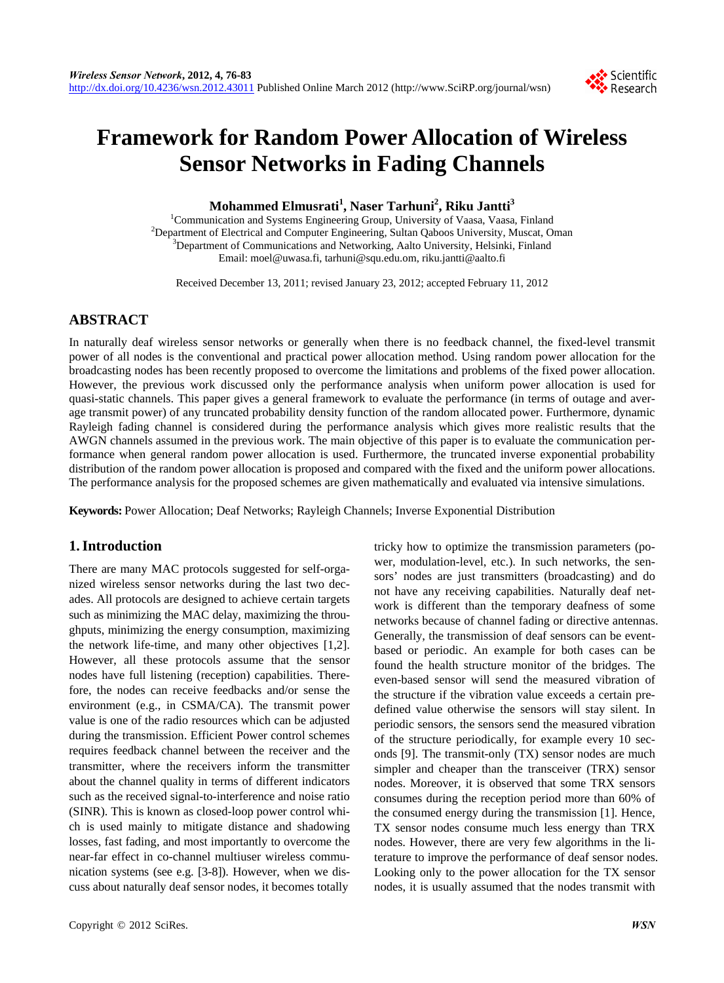

# **Framework for Random Power Allocation of Wireless Sensor Networks in Fading Channels**

# **Mohammed Elmusrati1 , Naser Tarhuni<sup>2</sup> , Riku Jantti<sup>3</sup>**

<sup>1</sup> Communication and Systems Engineering Group, University of Vaasa, Vaasa, Finland <sup>2</sup><br><sup>2</sup> Department of Electrical and Computer Engineering, Sultan Ochoos University, Museot, Or <sup>2</sup>Department of Electrical and Computer Engineering, Sultan Qaboos University, Muscat, Oman <sup>3</sup>Department of Communications and Networking, Aalto University, Helsinki, Finland Email: moel@uwasa.fi, tarhuni@squ.edu.om, riku.jantti@aalto.fi

Received December 13, 2011; revised January 23, 2012; accepted February 11, 2012

## **ABSTRACT**

In naturally deaf wireless sensor networks or generally when there is no feedback channel, the fixed-level transmit power of all nodes is the conventional and practical power allocation method. Using random power allocation for the broadcasting nodes has been recently proposed to overcome the limitations and problems of the fixed power allocation. However, the previous work discussed only the performance analysis when uniform power allocation is used for quasi-static channels. This paper gives a general framework to evaluate the performance (in terms of outage and average transmit power) of any truncated probability density function of the random allocated power. Furthermore, dynamic Rayleigh fading channel is considered during the performance analysis which gives more realistic results that the AWGN channels assumed in the previous work. The main objective of this paper is to evaluate the communication performance when general random power allocation is used. Furthermore, the truncated inverse exponential probability distribution of the random power allocation is proposed and compared with the fixed and the uniform power allocations. The performance analysis for the proposed schemes are given mathematically and evaluated via intensive simulations.

**Keywords:** Power Allocation; Deaf Networks; Rayleigh Channels; Inverse Exponential Distribution

## **1. Introduction**

There are many MAC protocols suggested for self-organized wireless sensor networks during the last two decades. All protocols are designed to achieve certain targets such as minimizing the MAC delay, maximizing the throughputs, minimizing the energy consumption, maximizing the network life-time, and many other objectives [1,2]. However, all these protocols assume that the sensor nodes have full listening (reception) capabilities. Therefore, the nodes can receive feedbacks and/or sense the environment (e.g., in CSMA/CA). The transmit power value is one of the radio resources which can be adjusted during the transmission. Efficient Power control schemes requires feedback channel between the receiver and the transmitter, where the receivers inform the transmitter about the channel quality in terms of different indicators such as the received signal-to-interference and noise ratio (SINR). This is known as closed-loop power control which is used mainly to mitigate distance and shadowing losses, fast fading, and most importantly to overcome the near-far effect in co-channel multiuser wireless communication systems (see e.g. [3-8]). However, when we discuss about naturally deaf sensor nodes, it becomes totally

sors' nodes are just transmitters (broadcasting) and do not have any receiving capabilities. Naturally deaf network is different than the temporary deafness of some networks because of channel fading or directive antennas. Generally, the transmission of deaf sensors can be eventbased or periodic. An example for both cases can be found the health structure monitor of the bridges. The even-based sensor will send the measured vibration of the structure if the vibration value exceeds a certain predefined value otherwise the sensors will stay silent. In periodic sensors, the sensors send the measured vibration of the structure periodically, for example every 10 seconds [9]. The transmit-only (TX) sensor nodes are much simpler and cheaper than the transceiver (TRX) sensor nodes. Moreover, it is observed that some TRX sensors consumes during the reception period more than 60% of the consumed energy during the transmission [1]. Hence, TX sensor nodes consume much less energy than TRX nodes. However, there are very few algorithms in the literature to improve the performance of deaf sensor nodes. Looking only to the power allocation for the TX sensor nodes, it is usually assumed that the nodes transmit with

tricky how to optimize the transmission parameters (power, modulation-level, etc.). In such networks, the sen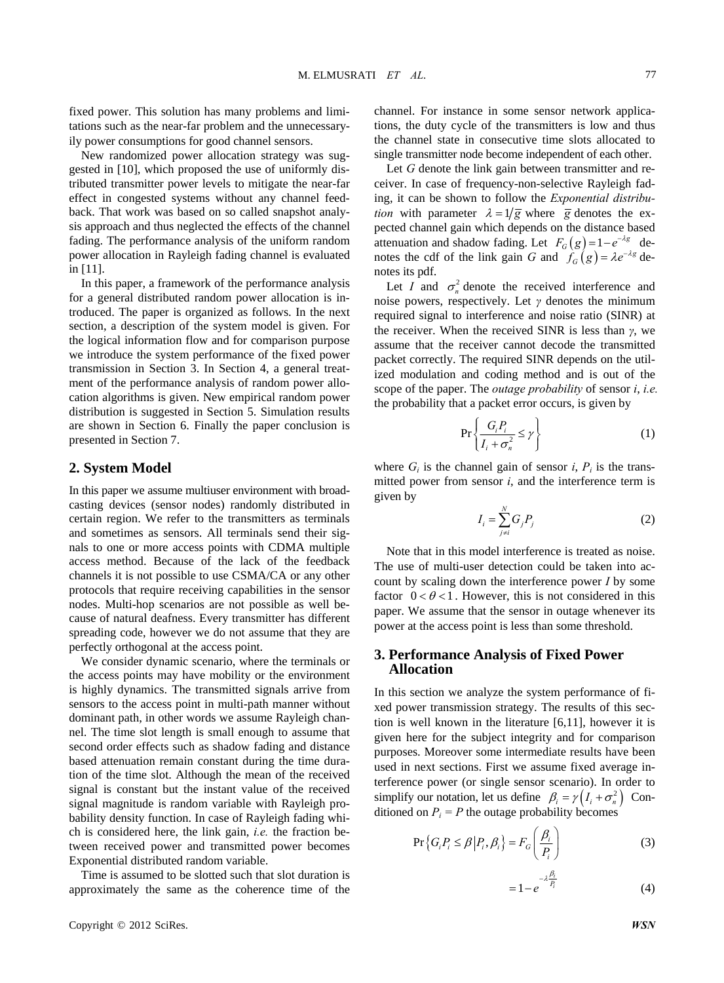fixed power. This solution has many problems and limitations such as the near-far problem and the unnecessaryily power consumptions for good channel sensors.

New randomized power allocation strategy was suggested in [10], which proposed the use of uniformly distributed transmitter power levels to mitigate the near-far effect in congested systems without any channel feedback. That work was based on so called snapshot analysis approach and thus neglected the effects of the channel fading. The performance analysis of the uniform random power allocation in Rayleigh fading channel is evaluated in [11].

In this paper, a framework of the performance analysis for a general distributed random power allocation is introduced. The paper is organized as follows. In the next section, a description of the system model is given. For the logical information flow and for comparison purpose we introduce the system performance of the fixed power transmission in Section 3. In Section 4, a general treatment of the performance analysis of random power allocation algorithms is given. New empirical random power distribution is suggested in Section 5. Simulation results are shown in Section 6. Finally the paper conclusion is presented in Section 7.

#### **2. System Model**

In this paper we assume multiuser environment with broadcasting devices (sensor nodes) randomly distributed in certain region. We refer to the transmitters as terminals and sometimes as sensors. All terminals send their signals to one or more access points with CDMA multiple access method. Because of the lack of the feedback channels it is not possible to use CSMA/CA or any other protocols that require receiving capabilities in the sensor nodes. Multi-hop scenarios are not possible as well because of natural deafness. Every transmitter has different spreading code, however we do not assume that they are perfectly orthogonal at the access point.

We consider dynamic scenario, where the terminals or the access points may have mobility or the environment is highly dynamics. The transmitted signals arrive from sensors to the access point in multi-path manner without dominant path, in other words we assume Rayleigh channel. The time slot length is small enough to assume that second order effects such as shadow fading and distance based attenuation remain constant during the time duration of the time slot. Although the mean of the received signal is constant but the instant value of the received signal magnitude is random variable with Rayleigh probability density function. In case of Rayleigh fading which is considered here, the link gain, *i.e.* the fraction between received power and transmitted power becomes Exponential distributed random variable.

Time is assumed to be slotted such that slot duration is approximately the same as the coherence time of the channel. For instance in some sensor network applications, the duty cycle of the transmitters is low and thus the channel state in consecutive time slots allocated to single transmitter node become independent of each other.

Let *G* denote the link gain between transmitter and receiver. In case of frequency-non-selective Rayleigh fading, it can be shown to follow the *Exponential distribution* with parameter  $\lambda = 1/\overline{g}$  where  $\overline{g}$  denotes the expected channel gain which depends on the distance based attenuation and shadow fading. Let  $F_G(g) = 1 - e^{-\lambda g}$  denotes the cdf of the link gain *G* and  $\hat{f}_G(g) = \lambda e^{-\lambda g}$  denotes its pdf.

Let *I* and  $\sigma_n^2$  denote the received interference and noise powers, respectively. Let  $\gamma$  denotes the minimum required signal to interference and noise ratio (SINR) at the receiver. When the received SINR is less than *γ*, we assume that the receiver cannot decode the transmitted packet correctly. The required SINR depends on the utilized modulation and coding method and is out of the scope of the paper. The *outage probability* of sensor *i*, *i.e.* the probability that a packet error occurs, is given by

$$
\Pr\left\{\frac{G_i P_i}{I_i + \sigma_n^2} \le \gamma\right\} \tag{1}
$$

where  $G_i$  is the channel gain of sensor *i*,  $P_i$  is the transmitted power from sensor *i*, and the interference term is given by

$$
I_i = \sum_{j \neq i}^{N} G_j P_j \tag{2}
$$

Note that in this model interference is treated as noise. The use of multi-user detection could be taken into account by scaling down the interference power *I* by some factor  $0 < \theta < 1$ . However, this is not considered in this paper. We assume that the sensor in outage whenever its power at the access point is less than some threshold.

#### **3. Performance Analysis of Fixed Power Allocation**

In this section we analyze the system performance of fixed power transmission strategy. The results of this section is well known in the literature [6,11], however it is given here for the subject integrity and for comparison purposes. Moreover some intermediate results have been used in next sections. First we assume fixed average interference power (or single sensor scenario). In order to simplify our notation, let us define  $\beta_i = \gamma \left(I_i + \sigma_n^2\right)$  Conditioned on  $P_i = P$  the outage probability becomes

$$
\Pr\left\{G_i P_i \le \beta \middle| P_i, \beta_i\right\} = F_G\left(\frac{\beta_i}{P_i}\right) \tag{3}
$$

$$
=1-e^{-\lambda\frac{\beta_i}{P_i}}\tag{4}
$$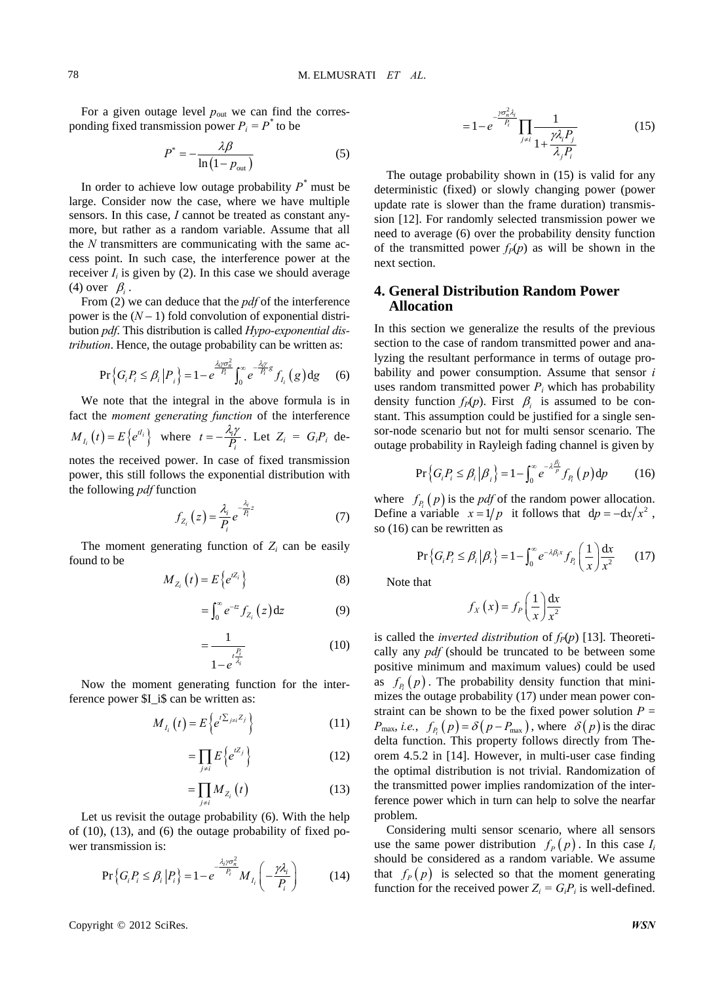For a given outage level  $p_{\text{out}}$  we can find the corresponding fixed transmission power  $P_i = P^*$  to be

$$
P^* = -\frac{\lambda \beta}{\ln\left(1 - p_{\text{out}}\right)}\tag{5}
$$

In order to achieve low outage probability  $P^*$  must be large. Consider now the case, where we have multiple sensors. In this case, *I* cannot be treated as constant anymore, but rather as a random variable. Assume that all the *N* transmitters are communicating with the same access point. In such case, the interference power at the receiver  $I_i$  is given by (2). In this case we should average (4) over  $\beta_i$ .

From (2) we can deduce that the *pdf* of the interference power is the  $(N-1)$  fold convolution of exponential distribution *pdf*. This distribution is called *Hypo-exponential distribution*. Hence, the outage probability can be written as:

$$
\Pr\left\{G_i P_i \le \beta_i \left| P_i \right.\right\} = 1 - e^{\frac{\lambda_i \gamma \sigma_n^2}{P_i}} \int_0^\infty e^{-\frac{\lambda_i \gamma}{P_i} g} f_{I_i}\left(g\right) \mathrm{d}g \tag{6}
$$

We note that the integral in the above formula is in fact the *moment generating function* of the interference  $M_{I_i}(t) = E\left\{e^{tI_i}\right\}$  where  $t = -\frac{\lambda_i \gamma}{P_i}$ . Let  $Z_i = G_i P_i$  denotes the received power. In case of fixed transmission

power, this still follows the exponential distribution with the following *pdf* function

$$
f_{Z_i}\left(z\right) = \frac{\lambda_i}{P_i} e^{-\frac{\lambda_i}{P_i}z} \tag{7}
$$

The moment generating function of  $Z_i$  can be easily found to be

$$
M_{Z_i}\left(t\right) = E\left\{e^{tZ_i}\right\} \tag{8}
$$

$$
=\int_0^\infty e^{-tz} f_{Z_i}(z) \mathrm{d} z \tag{9}
$$

$$
=\frac{1}{1-e^{\frac{t_{\lambda}^{\frac{p}{2}}}{\lambda_{i}}}}
$$
(10)

Now the moment generating function for the interference power \$I\_i\$ can be written as:

$$
M_{I_i}\left(t\right) = E\left\{e^{t\sum_{j\neq i}Z_j}\right\} \tag{11}
$$

$$
=\prod_{j\neq i}E\left\{e^{iZ_{j}}\right\} \tag{12}
$$

$$
=\prod_{j\neq i}M_{Z_i}\left(t\right)\tag{13}
$$

Let us revisit the outage probability (6). With the help of (10), (13), and (6) the outage probability of fixed power transmission is:

$$
\Pr\left\{G_{i}P_{i}\leq\beta_{i}\left|P_{i}\right.\right\}=1-e^{\frac{-\lambda_{i}\gamma\sigma_{n}^{2}}{P_{i}}}M_{I_{i}}\left(-\frac{\gamma\lambda_{i}}{P_{i}}\right) \tag{14}
$$

$$
=1-e^{\frac{-\gamma\sigma_n^2 \lambda_i}{P_i}}\prod_{j\neq i}\frac{1}{1+\frac{\gamma\lambda_i P_j}{\lambda_j P_i}}
$$
(15)

The outage probability shown in (15) is valid for any deterministic (fixed) or slowly changing power (power update rate is slower than the frame duration) transmission [12]. For randomly selected transmission power we need to average (6) over the probability density function of the transmitted power  $f_P(p)$  as will be shown in the next section.

### **4. General Distribution Random Power Allocation**

In this section we generalize the results of the previous section to the case of random transmitted power and analyzing the resultant performance in terms of outage probability and power consumption. Assume that sensor *i* uses random transmitted power  $P_i$  which has probability density function  $f_P(p)$ . First  $\beta_i$  is assumed to be constant. This assumption could be justified for a single sensor-node scenario but not for multi sensor scenario. The outage probability in Rayleigh fading channel is given by

$$
\Pr\left\{G_i P_i \le \beta_i \left| \beta_i \right.\right\} = 1 - \int_0^\infty e^{-\lambda \frac{\beta_i}{p}} f_{P_i}\left(p\right) \mathrm{d}p \tag{16}
$$

where  $f_{P_i}(p)$  is the *pdf* of the random power allocation. Define a variable  $x = 1/p$  it follows that  $dp = -dx/x^2$ , so (16) can be rewritten as

$$
\Pr\left\{G_i P_i \le \beta_i \left| \beta_i \right.\right\} = 1 - \int_0^\infty e^{-\lambda \beta_i x} f_{P_i} \left(\frac{1}{x}\right) \frac{dx}{x^2} \qquad (17)
$$

Note that

$$
f_X(x) = f_P\left(\frac{1}{x}\right)\frac{\mathrm{d}x}{x^2}
$$

is called the *inverted distribution* of  $f_P(p)$  [13]. Theoretically any *pdf* (should be truncated to be between some positive minimum and maximum values) could be used as  $f_{p} (p)$ . The probability density function that minimizes the outage probability (17) under mean power constraint can be shown to be the fixed power solution  $P =$  $P_{\text{max}}$ , *i.e.*,  $f_{P_i}(p) = \delta(p - P_{\text{max}})$ , where  $\delta(p)$  is the dirac delta function. This property follows directly from Theorem 4.5.2 in [14]. However, in multi-user case finding the optimal distribution is not trivial. Randomization of the transmitted power implies randomization of the interference power which in turn can help to solve the nearfar problem.

Considering multi sensor scenario, where all sensors use the same power distribution  $f_p(p)$ . In this case  $I_i$ should be considered as a random variable. We assume that  $f_p(p)$  is selected so that the moment generating function for the received power  $Z_i = G_i P_i$  is well-defined.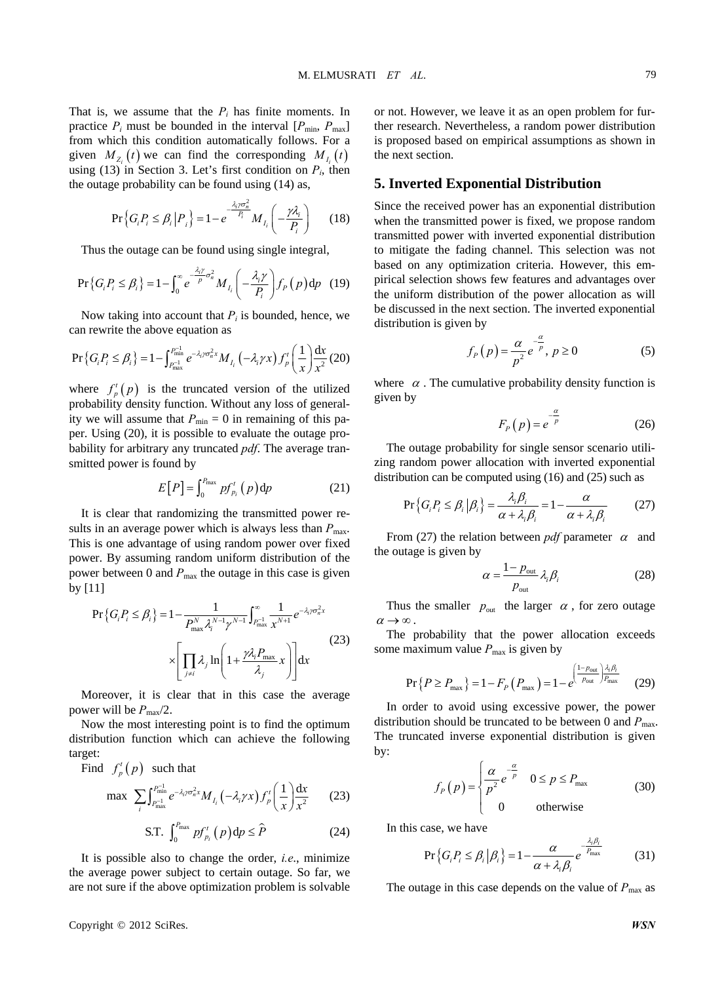That is, we assume that the  $P_i$  has finite moments. In practice  $P_i$  must be bounded in the interval  $[P_{min}, P_{max}]$ from which this condition automatically follows. For a given  $M_{\rm z}$  (*t*) we can find the corresponding  $M_{\rm L}(t)$ using (13) in Section 3. Let's first condition on  $P_i$ , then the outage probability can be found using (14) as,

$$
\Pr\left\{G_i P_i \le \beta_i \left| P_i \right.\right\} = 1 - e^{-\frac{\lambda_i \gamma \sigma_n^2}{P_i}} M_{I_i} \left( -\frac{\gamma \lambda_i}{P_i} \right) \tag{18}
$$

Thus the outage can be found using single integral,

$$
\Pr\left\{G_{i}P_{i} \leq \beta_{i}\right\} = 1 - \int_{0}^{\infty} e^{-\frac{\lambda_{i}\gamma}{p}\sigma_{n}^{2}} M_{I_{i}}\left(-\frac{\lambda_{i}\gamma}{P_{i}}\right) f_{P}\left(p\right) dp \quad (19)
$$

Now taking into account that  $P_i$  is bounded, hence, we can rewrite the above equation as

$$
\Pr\left\{G_{i}P_{i}\leq\beta_{i}\right\}=1-\int_{P_{\max}^{-1}}^{P_{\min}^{-1}}e^{-\lambda_{i}\gamma\sigma_{n}^{2}x}M_{I_{i}}\left(-\lambda_{i}\gamma x\right)f_{p}^{\prime}\left(\frac{1}{x}\right)\frac{dx}{x^{2}}(20)
$$

where  $f_p^t(p)$  is the truncated version of the utilized probability density function. Without any loss of generality we will assume that  $P_{\text{min}} = 0$  in remaining of this paper. Using (20), it is possible to evaluate the outage probability for arbitrary any truncated *pdf*. The average transmitted power is found by

$$
E[P] = \int_0^{P_{\text{max}}} p f'_{p_i}(p) \, \mathrm{d}p \tag{21}
$$

It is clear that randomizing the transmitted power results in an average power which is always less than  $P_{\text{max}}$ . This is one advantage of using random power over fixed power. By assuming random uniform distribution of the power between 0 and  $P_{\text{max}}$  the outage in this case is given by [11]

$$
\Pr\left\{G_{i}P_{i} \leq \beta_{i}\right\} = 1 - \frac{1}{P_{\max}^{N} \lambda_{i}^{N-1} \gamma^{N-1}} \int_{P_{\max}^{-1}}^{\infty} \frac{1}{x^{N+1}} e^{-\lambda_{i} \gamma \sigma_{n}^{2} x}
$$
\n
$$
\times \left[\prod_{j \neq i} \lambda_{j} \ln\left(1 + \frac{\gamma \lambda_{i} P_{\max}}{\lambda_{j}} x\right)\right] dx
$$
\n(23)

Moreover, it is clear that in this case the average power will be  $P_{\text{max}}/2$ .

Now the most interesting point is to find the optimum distribution function which can achieve the following target:

Find  $f_p^t(p)$  such that

max 
$$
\sum_{i} \int_{P_{\text{max}}^{-1}}^{P_{\text{min}}^{-1}} e^{-\lambda_i \gamma \sigma_n^2 x} M_{I_i}(-\lambda_i \gamma x) f'_p \left(\frac{1}{x}\right) \frac{dx}{x^2}
$$
 (23)

$$
\text{S.T. } \int_0^{P_{\text{max}}} p f_{p_i}^t(p) \, \mathrm{d}p \le \hat{P} \tag{24}
$$

It is possible also to change the order, *i.e*., minimize the average power subject to certain outage. So far, we are not sure if the above optimization problem is solvable or not. However, we leave it as an open problem for further research. Nevertheless, a random power distribution is proposed based on empirical assumptions as shown in the next section.

#### **5. Inverted Exponential Distribution**

Since the received power has an exponential distribution when the transmitted power is fixed, we propose random transmitted power with inverted exponential distribution to mitigate the fading channel. This selection was not based on any optimization criteria. However, this empirical selection shows few features and advantages over the uniform distribution of the power allocation as will be discussed in the next section. The inverted exponential distribution is given by

$$
f_P(p) = \frac{\alpha}{p^2} e^{-\frac{\alpha}{p}}, p \ge 0
$$
 (5)

where  $\alpha$ . The cumulative probability density function is given by

$$
F_p(p) = e^{-\frac{a}{p}}
$$
 (26)

The outage probability for single sensor scenario utilizing random power allocation with inverted exponential distribution can be computed using (16) and (25) such as

$$
\Pr\left\{G_i P_i \le \beta_i \, \big| \, \beta_i\right\} = \frac{\lambda_i \beta_i}{\alpha + \lambda_i \beta_i} = 1 - \frac{\alpha}{\alpha + \lambda_i \beta_i} \tag{27}
$$

From (27) the relation between *pdf* parameter  $\alpha$  and the outage is given by

$$
\alpha = \frac{1 - p_{\text{out}}}{p_{\text{out}}} \lambda_i \beta_i \tag{28}
$$

Thus the smaller  $p_{\text{out}}$  the larger  $\alpha$ , for zero outage  $\alpha \rightarrow \infty$ .

The probability that the power allocation exceeds some maximum value  $P_{\text{max}}$  is given by

$$
\Pr\left\{P \ge P_{\max}\right\} = 1 - F_P\left(P_{\max}\right) = 1 - e^{\left(\frac{1 - p_{\text{out}}}{p_{\text{out}}}\right)\frac{\lambda_i \beta_i}{P_{\max}}} \tag{29}
$$

In order to avoid using excessive power, the power distribution should be truncated to be between 0 and  $P_{\text{max}}$ . The truncated inverse exponential distribution is given by:

$$
f_P(p) = \begin{cases} \frac{\alpha}{p^2} e^{-\frac{\alpha}{p}} & 0 \le p \le P_{\text{max}} \\ 0 & \text{otherwise} \end{cases}
$$
 (30)

In this case, we have

$$
\Pr\left\{G_i P_i \leq \beta_i \left| \beta_i \right.\right\} = 1 - \frac{\alpha}{\alpha + \lambda_i \beta_i} e^{-\frac{\lambda_i \beta_i}{P_{\text{max}}}} \tag{31}
$$

The outage in this case depends on the value of  $P_{\text{max}}$  as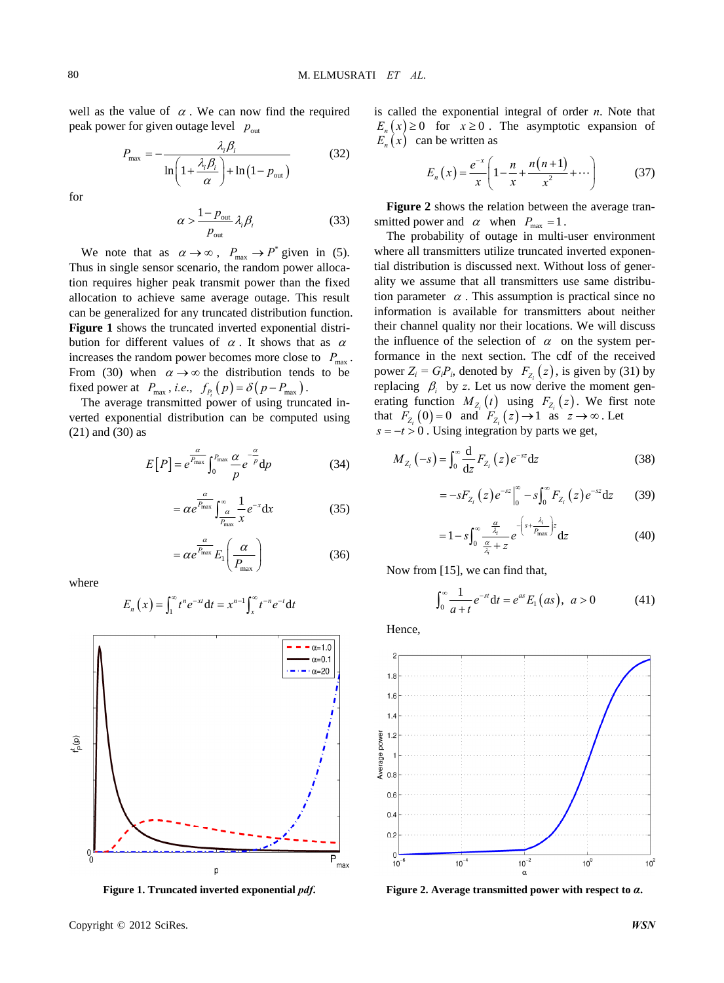well as the value of  $\alpha$ . We can now find the required peak power for given outage level  $p_{\text{out}}$ 

$$
P_{\text{max}} = -\frac{\lambda_i \beta_i}{\ln\left(1 + \frac{\lambda_i \beta_i}{\alpha}\right) + \ln\left(1 - p_{\text{out}}\right)}
$$
(32)

for

$$
\alpha > \frac{1 - p_{\text{out}}}{p_{\text{out}}} \lambda_i \beta_i \tag{33}
$$

We note that as  $\alpha \to \infty$ ,  $P_{\text{max}} \to P^*$  given in (5). Thus in single sensor scenario, the random power allocation requires higher peak transmit power than the fixed allocation to achieve same average outage. This result can be generalized for any truncated distribution function. **Figure 1** shows the truncated inverted exponential distribution for different values of  $\alpha$ . It shows that as  $\alpha$ increases the random power becomes more close to  $P_{\text{max}}$ . From (30) when  $\alpha \rightarrow \infty$  the distribution tends to be fixed power at  $P_{\text{max}}$ , *i.e.*,  $f_{P_i}(p) = \delta(p - P_{\text{max}})$ .

The average transmitted power of using truncated inverted exponential distribution can be computed using (21) and (30) as

$$
E[P] = e^{\frac{\alpha}{P_{\text{max}}}} \int_0^{P_{\text{max}}} \frac{\alpha}{p} e^{-\frac{\alpha}{p}} dp
$$
 (34)

$$
= \alpha e^{\frac{\alpha}{P_{\text{max}}}} \int_{\frac{\alpha}{P_{\text{max}}} \cdot x}^{\infty} \frac{1}{x} e^{-x} dx \tag{35}
$$

$$
= \alpha e^{\frac{\alpha}{P_{\text{max}}}} E_1 \left( \frac{\alpha}{P_{\text{max}}} \right)
$$
 (36)

where

$$
E_n(x) = \int_1^{\infty} t^n e^{-xt} dt = x^{n-1} \int_x^{\infty} t^{-n} e^{-t} dt
$$



**Figure 1. Truncated inverted exponential** *pdf***.**

is called the exponential integral of order *n*. Note that  $E_n(x) \ge 0$  for  $x \ge 0$ . The asymptotic expansion of  $E_n(x)$  can be written as

$$
E_n(x) = \frac{e^{-x}}{x} \left( 1 - \frac{n}{x} + \frac{n(n+1)}{x^2} + \cdots \right) \tag{37}
$$

**Figure 2** shows the relation between the average transmitted power and  $\alpha$  when  $P_{\text{max}} = 1$ .

The probability of outage in multi-user environment where all transmitters utilize truncated inverted exponential distribution is discussed next. Without loss of generality we assume that all transmitters use same distribution parameter  $\alpha$ . This assumption is practical since no information is available for transmitters about neither their channel quality nor their locations. We will discuss the influence of the selection of  $\alpha$  on the system performance in the next section. The cdf of the received power  $Z_i = G_i P_i$ , denoted by  $F_{Z_i}(z)$ , is given by (31) by replacing  $\beta_i$  by *z*. Let us now derive the moment generating function  $M_{Z_i}(t)$  using  $F_{Z_i}(z)$ . We first note that  $F_{Z_i}(0) = 0$  and  $F_{Z_i}(z) \rightarrow 1$  as  $z \rightarrow \infty$ . Let  $s = -t > 0$ . Using integration by parts we get,  $s = -t > 0$ . Using integration by parts we get,

$$
M_{Z_i}\left(-s\right) = \int_0^\infty \frac{\mathrm{d}}{\mathrm{d}z} F_{Z_i}\left(z\right) e^{-sz} \mathrm{d}z \tag{38}
$$

$$
= -sF_{Z_i}(z)e^{-sz}\Big|_0^{\infty} - s\int_0^{\infty} F_{Z_i}(z)e^{-sz}dz \qquad (39)
$$

$$
=1-s\int_0^\infty \frac{\frac{\alpha}{\lambda_i}}{\frac{\alpha}{\lambda_i}+z}e^{-\left(s+\frac{\lambda_i}{P_{\text{max}}}\right)z}dz
$$
(40)

Now from [15], we can find that,

$$
\int_0^\infty \frac{1}{a+t} e^{-st} dt = e^{as} E_1(as), \ a > 0 \tag{41}
$$

Hence,



**Figure 2. Average transmitted power with respect to** *α***.**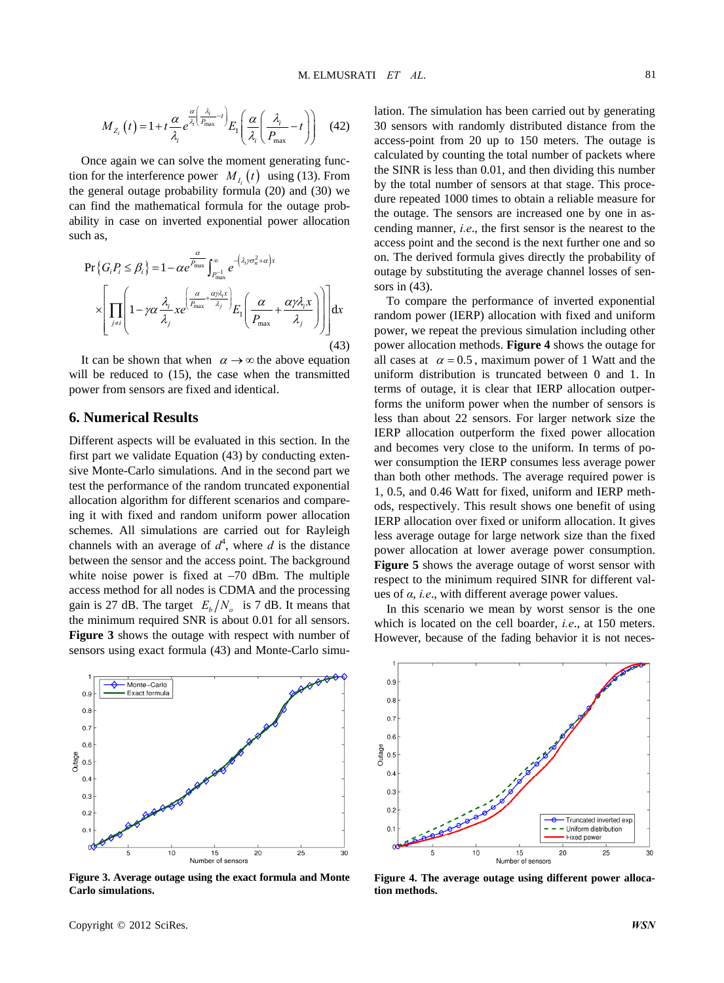$$
M_{Z_i}\left(t\right) = 1 + t \frac{\alpha}{\lambda_i} e^{\frac{\alpha}{\lambda_i} \left(\frac{\lambda_i}{P_{\text{max}}} - t\right)} E_1\left(\frac{\alpha}{\lambda_i} \left(\frac{\lambda_i}{P_{\text{max}}} - t\right)\right) \quad (42)
$$

Once again we can solve the moment generating function for the interference power  $M_{I_i}(t)$  using (13). From the general outage probability formula  $(20)$  and  $(30)$  we can find the mathematical formula for the outage probability in case on inverted exponential power allocation such as,

$$
\Pr\{G_i P_i \le \beta_i\} = 1 - \alpha e^{\frac{\alpha}{P_{\text{max}}}} \int_{P_{\text{max}}^{-1}}^{\infty} e^{-\left(\lambda_i \gamma \sigma_n^2 + \alpha\right)x}
$$

$$
\times \left[ \prod_{j \ne i} \left(1 - \gamma \alpha \frac{\lambda_i}{\lambda_j} x e^{\left(\frac{\alpha}{P_{\text{max}}} + \frac{\alpha \gamma \lambda_i x}{\lambda_j}\right)} E_1 \left(\frac{\alpha}{P_{\text{max}}} + \frac{\alpha \gamma \lambda_i x}{\lambda_j}\right) \right) \right] dx
$$
(43)

It can be shown that when  $\alpha \rightarrow \infty$  the above equation will be reduced to (15), the case when the transmitted power from sensors are fixed and identical.

#### **6. Numerical Results**

Different aspects will be evaluated in this section. In the first part we validate Equation (43) by conducting extensive Monte-Carlo simulations. And in the second part we test the performance of the random truncated exponential allocation algorithm for different scenarios and compareing it with fixed and random uniform power allocation schemes. All simulations are carried out for Rayleigh channels with an average of  $d^4$ , where *d* is the distance between the sensor and the access point. The background white noise power is fixed at  $-70$  dBm. The multiple access method for all nodes is CDMA and the processing gain is 27 dB. The target  $E_h/N_a$  is 7 dB. It means that the minimum required SNR is about 0.01 for all sensors. **Figure 3** shows the outage with respect with number of sensors using exact formula (43) and Monte-Carlo simu-



**Figure 3. Average outage using the exact formula and Monte Carlo simulations.**

lation. The simulation has been carried out by generating 30 sensors with randomly distributed distance from the access-point from 20 up to 150 meters. The outage is calculated by counting the total number of packets where the SINR is less than 0.01, and then dividing this number by the total number of sensors at that stage. This procedure repeated 1000 times to obtain a reliable measure for the outage. The sensors are increased one by one in ascending manner, *i.e*., the first sensor is the nearest to the access point and the second is the next further one and so on. The derived formula gives directly the probability of outage by substituting the average channel losses of sensors in (43).

To compare the performance of inverted exponential random power (IERP) allocation with fixed and uniform power, we repeat the previous simulation including other power allocation methods. **Figure 4** shows the outage for all cases at  $\alpha = 0.5$ , maximum power of 1 Watt and the uniform distribution is truncated between 0 and 1. In terms of outage, it is clear that IERP allocation outperforms the uniform power when the number of sensors is less than about 22 sensors. For larger network size the IERP allocation outperform the fixed power allocation and becomes very close to the uniform. In terms of power consumption the IERP consumes less average power than both other methods. The average required power is 1, 0.5, and 0.46 Watt for fixed, uniform and IERP methods, respectively. This result shows one benefit of using IERP allocation over fixed or uniform allocation. It gives less average outage for large network size than the fixed power allocation at lower average power consumption. **Figure 5** shows the average outage of worst sensor with respect to the minimum required SINR for different values of *α*, *i.e*., with different average power values.

In this scenario we mean by worst sensor is the one which is located on the cell boarder, *i.e*., at 150 meters. However, because of the fading behavior it is not neces-



**Figure 4. The average outage using different power allocation methods.**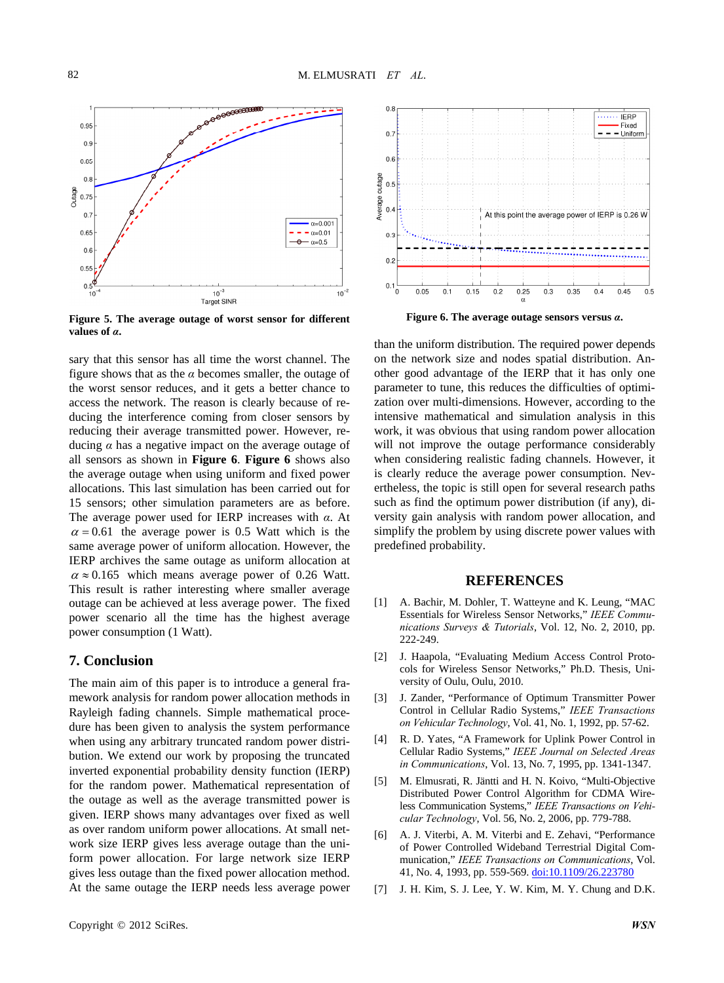

**Figure 5. The average outage of worst sensor for different values of** *α***.**

sary that this sensor has all time the worst channel. The figure shows that as the  $\alpha$  becomes smaller, the outage of the worst sensor reduces, and it gets a better chance to access the network. The reason is clearly because of reducing the interference coming from closer sensors by reducing their average transmitted power. However, reducing  $\alpha$  has a negative impact on the average outage of all sensors as shown in **Figure 6**. **Figure 6** shows also the average outage when using uniform and fixed power allocations. This last simulation has been carried out for 15 sensors; other simulation parameters are as before. The average power used for IERP increases with *α*. At  $\alpha$  = 0.61 the average power is 0.5 Watt which is the same average power of uniform allocation. However, the IERP archives the same outage as uniform allocation at  $\alpha \approx 0.165$  which means average power of 0.26 Watt. This result is rather interesting where smaller average outage can be achieved at less average power. The fixed power scenario all the time has the highest average power consumption (1 Watt).

## **7. Conclusion**

The main aim of this paper is to introduce a general framework analysis for random power allocation methods in Rayleigh fading channels. Simple mathematical procedure has been given to analysis the system performance when using any arbitrary truncated random power distribution. We extend our work by proposing the truncated inverted exponential probability density function (IERP) for the random power. Mathematical representation of the outage as well as the average transmitted power is given. IERP shows many advantages over fixed as well as over random uniform power allocations. At small network size IERP gives less average outage than the uniform power allocation. For large network size IERP gives less outage than the fixed power allocation method. At the same outage the IERP needs less average power



**Figure 6. The average outage sensors versus** *α***.**

than the uniform distribution. The required power depends on the network size and nodes spatial distribution. Another good advantage of the IERP that it has only one parameter to tune, this reduces the difficulties of optimization over multi-dimensions. However, according to the intensive mathematical and simulation analysis in this work, it was obvious that using random power allocation will not improve the outage performance considerably when considering realistic fading channels. However, it is clearly reduce the average power consumption. Nevertheless, the topic is still open for several research paths such as find the optimum power distribution (if any), diversity gain analysis with random power allocation, and simplify the problem by using discrete power values with predefined probability.

## **ERENCES REF**

- [1] A. Bachir, M. Dohler, T. Watteyne and K. Leung, "MAC Essentials for Wireless Sensor Networks," IEEE Commu*nications Surveys & Tutorials*, Vol. 12, No. 2, 2010, pp. 222-249.
- cols for Wireless Sensor Networks," Ph.D. Thesis, Uni-[2] J. Haapola, "Evaluating Medium Access Control Protoversity of Oulu, Oulu, 2010.
- Control in Cellular Radio Systems," IEEE Transactions [3] J. Zander, "Performance of Optimum Transmitter Power *on Vehicular Technology*, Vol. 41, No. 1, 1992, pp. 57-62.
- [4] R. D. Yates, "A Framework for Uplink Power Control in Cellular Radio Systems," *IEEE Journal on Selected Areas in Communications*, Vol. 13, No. 7, 1995, pp. 1341-1347.
- [5] M. Elmusrati, R. Jäntti and H. N. Koivo, "Multi-Objective Distributed Power Control Algorithm for CDMA Wireless Communication Systems," *IEEE Transactions on Vehicular Technology*, Vol. 56, No. 2, 2006, pp. 779-788.
- of Power Controlled Wideband Terrestrial Digital Com-[6] A. J. Viterbi, A. M. Viterbi and E. Zehavi, "Performance munication," *IEEE Transactions on Communications*, Vol. 41, No. 4, 1993, pp. 559-569. [doi:10.1109/26.223780](http://dx.doi.org/10.1109/26.223780)
- [7] [J. H. Kim, S. J. Lee, Y. W. Kim, M. Y. Chung and D.K.](http://dx.doi.org/10.1109/26.223780)